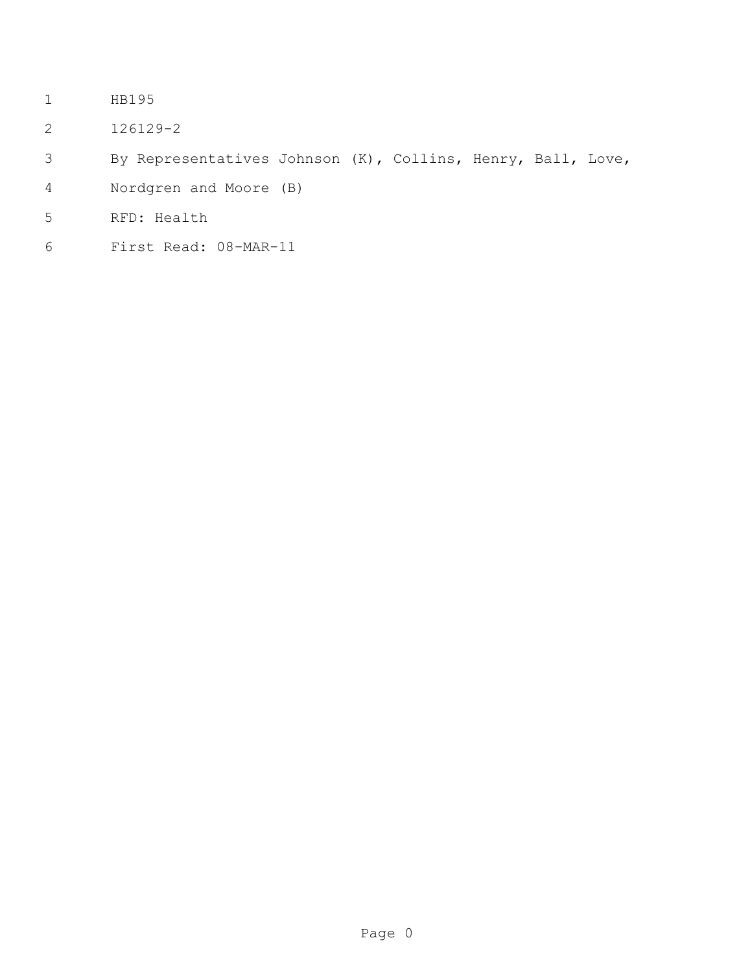- HB195
- 126129-2
- By Representatives Johnson (K), Collins, Henry, Ball, Love,
- Nordgren and Moore (B)
- RFD: Health
- First Read: 08-MAR-11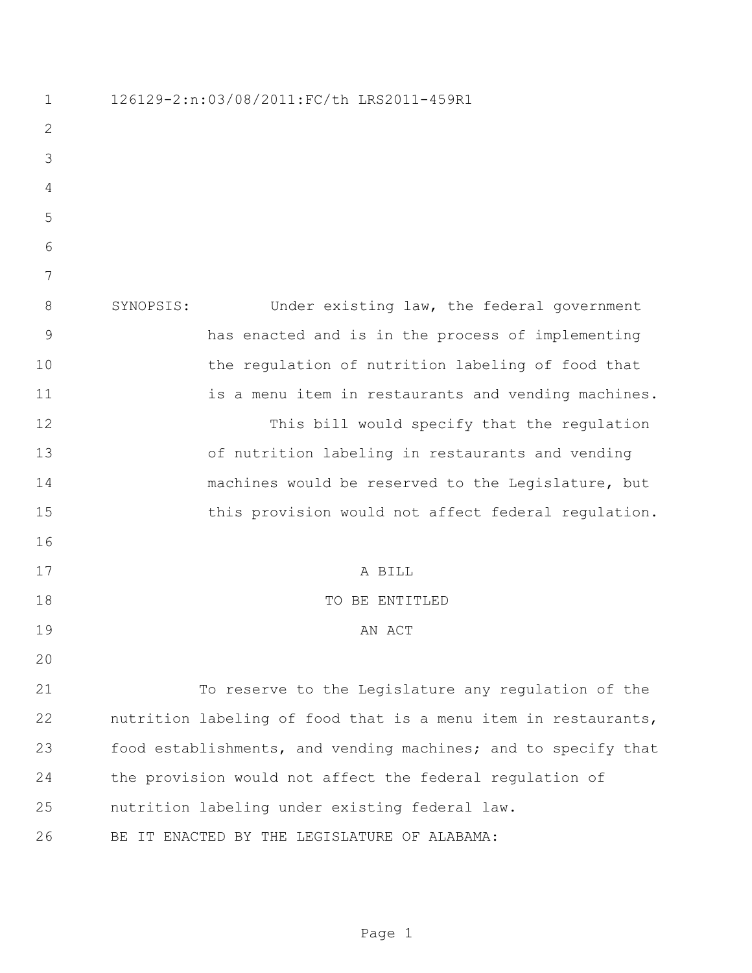126129-2:n:03/08/2011:FC/th LRS2011-459R1 SYNOPSIS: Under existing law, the federal government has enacted and is in the process of implementing 10 the regulation of nutrition labeling of food that 11 is a menu item in restaurants and vending machines. This bill would specify that the regulation of nutrition labeling in restaurants and vending machines would be reserved to the Legislature, but 15 this provision would not affect federal regulation. A BILL TO BE ENTITLED 19 AN ACT To reserve to the Legislature any regulation of the nutrition labeling of food that is a menu item in restaurants, food establishments, and vending machines; and to specify that the provision would not affect the federal regulation of nutrition labeling under existing federal law. BE IT ENACTED BY THE LEGISLATURE OF ALABAMA: